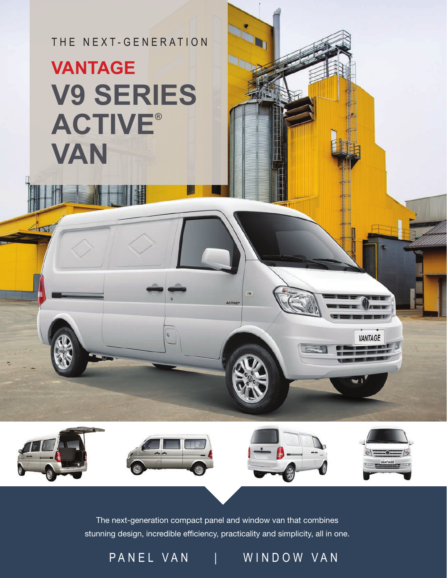THE NEXT-GENERATION

## **V9 SERIES ACTIVE® VAN VANTAGE**

The next-generation compact panel and window van that combines stunning design, incredible efficiency, practicality and simplicity, all in one.

ACTIVI

PANEL VAN | WINDOW VAN

VANTAGE